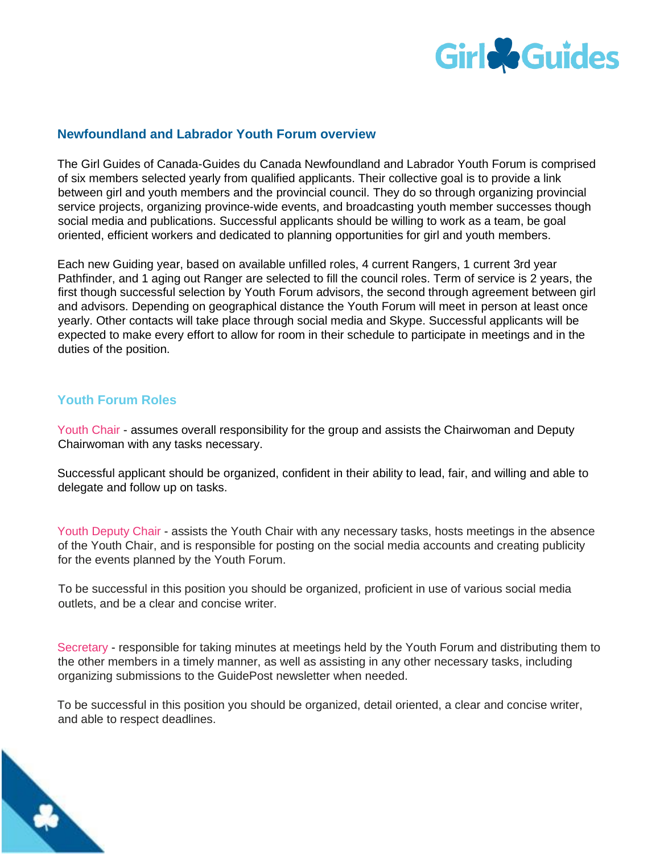

## **Newfoundland and Labrador Youth Forum overview**

The Girl Guides of Canada-Guides du Canada Newfoundland and Labrador Youth Forum is comprised of six members selected yearly from qualified applicants. Their collective goal is to provide a link between girl and youth members and the provincial council. They do so through organizing provincial service projects, organizing province-wide events, and broadcasting youth member successes though social media and publications. Successful applicants should be willing to work as a team, be goal oriented, efficient workers and dedicated to planning opportunities for girl and youth members.

Each new Guiding year, based on available unfilled roles, 4 current Rangers, 1 current 3rd year Pathfinder, and 1 aging out Ranger are selected to fill the council roles. Term of service is 2 years, the first though successful selection by Youth Forum advisors, the second through agreement between girl and advisors. Depending on geographical distance the Youth Forum will meet in person at least once yearly. Other contacts will take place through social media and Skype. Successful applicants will be expected to make every effort to allow for room in their schedule to participate in meetings and in the duties of the position.

## **Youth Forum Roles**

Youth Chair - assumes overall responsibility for the group and assists the Chairwoman and Deputy Chairwoman with any tasks necessary.

Successful applicant should be organized, confident in their ability to lead, fair, and willing and able to delegate and follow up on tasks.

Youth Deputy Chair - assists the Youth Chair with any necessary tasks, hosts meetings in the absence of the Youth Chair, and is responsible for posting on the social media accounts and creating publicity for the events planned by the Youth Forum.

To be successful in this position you should be organized, proficient in use of various social media outlets, and be a clear and concise writer.

Secretary - responsible for taking minutes at meetings held by the Youth Forum and distributing them to the other members in a timely manner, as well as assisting in any other necessary tasks, including organizing submissions to the GuidePost newsletter when needed.

To be successful in this position you should be organized, detail oriented, a clear and concise writer, and able to respect deadlines.